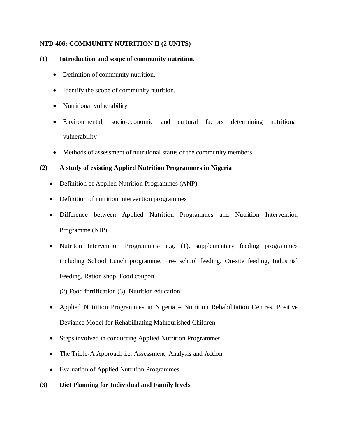## **NTD 406: COMMUNITY NUTRITION II (2 UNITS)**

## **(1) Introduction and scope of community nutrition.**

- Definition of community nutrition.
- Identify the scope of community nutrition.
- Nutritional vulnerability
- Environmental, socio-economic and cultural factors determining nutritional vulnerability
- Methods of assessment of nutritional status of the community members

## **(2) A study of existing Applied Nutrition Programmes in Nigeria**

- Definition of Applied Nutrition Programmes (ANP).
- Definition of nutrition intervention programmes
- Difference between Applied Nutrition Programmes and Nutrition Intervention Programme (NIP).
- Nutriton Intervention Programmes- e.g. (1). supplementary feeding programmes including School Lunch programme, Pre- school feeding, On-site feeding, Industrial Feeding, Ration shop, Food coupon

(2).Food fortification (3). Nutrition education

- Applied Nutrition Programmes in Nigeria Nutrition Rehabilitation Centres, Positive Deviance Model for Rehabilitating Malnourished Children
- Steps involved in conducting Applied Nutrition Programmes.
- The Triple-A Approach i.e. Assessment, Analysis and Action.
- Evaluation of Applied Nutrition Programmes.

## **(3) Diet Planning for Individual and Family levels**